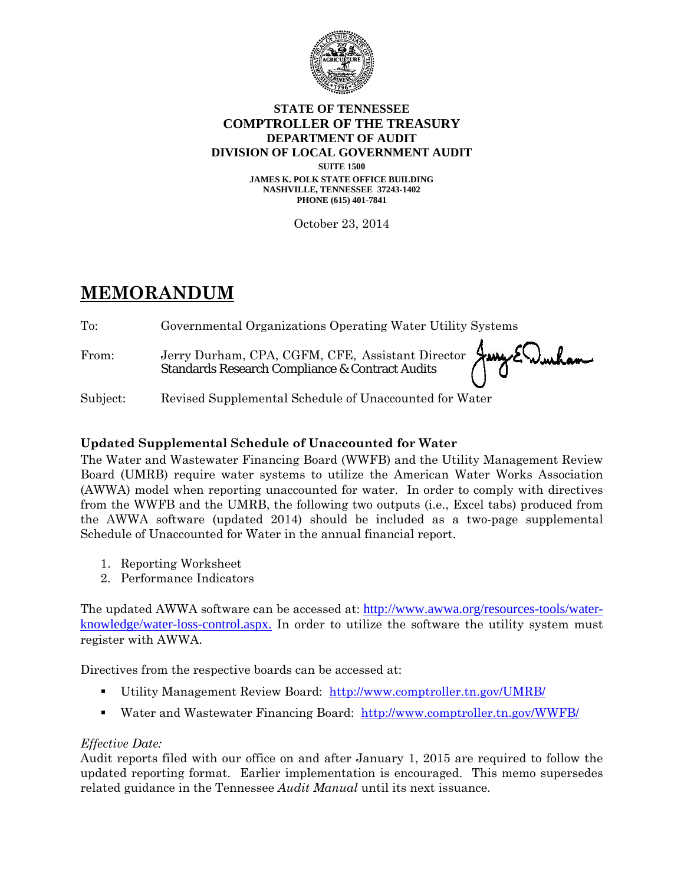

#### **STATE OF TENNESSEE COMPTROLLER OF THE TREASURY DEPARTMENT OF AUDIT DIVISION OF LOCAL GOVERNMENT AUDIT**

**SUITE 1500 JAMES K. POLK STATE OFFICE BUILDING NASHVILLE, TENNESSEE 37243-1402 PHONE (615) 401-7841** 

October 23, 2014

# **MEMORANDUM**

To: Governmental Organizations Operating Water Utility Systems

From: Jerry Durham, CPA, CGFM, CFE, Assistant Director Standards Research Compliance & Contract Audits

Subject: Revised Supplemental Schedule of Unaccounted for Water

## **Updated Supplemental Schedule of Unaccounted for Water**

The Water and Wastewater Financing Board (WWFB) and the Utility Management Review Board (UMRB) require water systems to utilize the American Water Works Association (AWWA) model when reporting unaccounted for water. In order to comply with directives from the WWFB and the UMRB, the following two outputs (i.e., Excel tabs) produced from the AWWA software (updated 2014) should be included as a two-page supplemental Schedule of Unaccounted for Water in the annual financial report.

- 1. Reporting Worksheet
- 2. Performance Indicators

The updated AWWA software can be accessed at: http://www.awwa.org/resources-tools/waterknowledge/water-loss-control.aspx. In order to utilize the software the utility system must register with AWWA.

Directives from the respective boards can be accessed at:

- Utility Management Review Board: http://www.comptroller.tn.gov/UMRB/
- Water and Wastewater Financing Board: http://www.comptroller.tn.gov/WWFB/

## *Effective Date:*

Audit reports filed with our office on and after January 1, 2015 are required to follow the updated reporting format. Earlier implementation is encouraged. This memo supersedes related guidance in the Tennessee *Audit Manual* until its next issuance.